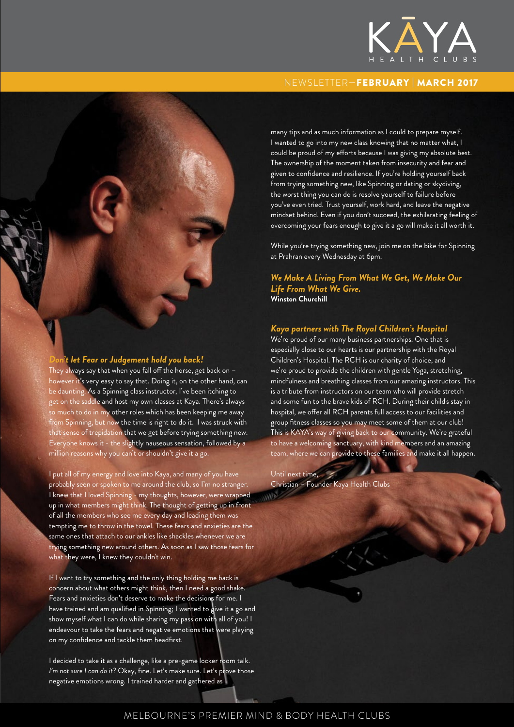

### NEWSLETTER—FEBRUARY | MARCH 2017

many tips and as much information as I could to prepare myself. I wanted to go into my new class knowing that no matter what, I could be proud of my efforts because I was giving my absolute best. The ownership of the moment taken from insecurity and fear and given to confidence and resilience. If you're holding yourself back from trying something new, like Spinning or dating or skydiving, the worst thing you can do is resolve yourself to failure before you've even tried. Trust yourself, work hard, and leave the negative mindset behind. Even if you don't succeed, the exhilarating feeling of overcoming your fears enough to give it a go will make it all worth it.

While you're trying something new, join me on the bike for Spinning at Prahran every Wednesday at 6pm.

*We Make A Living From What We Get, We Make Our Life From What We Give.* **Winston Churchill** 

### *Kaya partners with The Royal Children's Hospital*

We're proud of our many business partnerships. One that is especially close to our hearts is our partnership with the Royal Children's Hospital. The RCH is our charity of choice, and we're proud to provide the children with gentle Yoga, stretching, mindfulness and breathing classes from our amazing instructors. This is a tribute from instructors on our team who will provide stretch and some fun to the brave kids of RCH. During their child's stay in hospital, we offer all RCH parents full access to our facilities and group fitness classes so you may meet some of them at our club! This is KAYA's way of giving back to our community. We're grateful to have a welcoming sanctuary, with kind members and an amazing team, where we can provide to these families and make it all happen.

Until next time, Christian – Founder Kaya Health Clubs

#### *Don't let Fear or Judgement hold you back!*

They always say that when you fall off the horse, get back on – however it's very easy to say that. Doing it, on the other hand, can be daunting. As a Spinning class instructor, I've been itching to get on the saddle and host my own classes at Kaya. There's always so much to do in my other roles which has been keeping me away from Spinning, but now the time is right to do it. I was struck with that sense of trepidation that we get before trying something new. Everyone knows it - the slightly nauseous sensation, followed by a million reasons why you can't or shouldn't give it a go.

I put all of my energy and love into Kaya, and many of you have probably seen or spoken to me around the club, so I'm no stranger. I knew that I loved Spinning - my thoughts, however, were wrapped up in what members might think. The thought of getting up in front of all the members who see me every day and leading them was tempting me to throw in the towel. These fears and anxieties are the same ones that attach to our ankles like shackles whenever we are trying something new around others. As soon as I saw those fears for what they were, I knew they couldn't win.

If I want to try something and the only thing holding me back is concern about what others might think, then I need a good shake. Fears and anxieties don't deserve to make the decisions for me. I have trained and am qualified in Spinning; I wanted to give it a go and show myself what I can do while sharing my passion with all of you! I endeavour to take the fears and negative emotions that were playing on my confidence and tackle them headfirst.

I decided to take it as a challenge, like a pre-game locker room talk. *I'm not sure I can do it?* Okay, fine. Let's make sure. Let's prove those negative emotions wrong. I trained harder and gathered as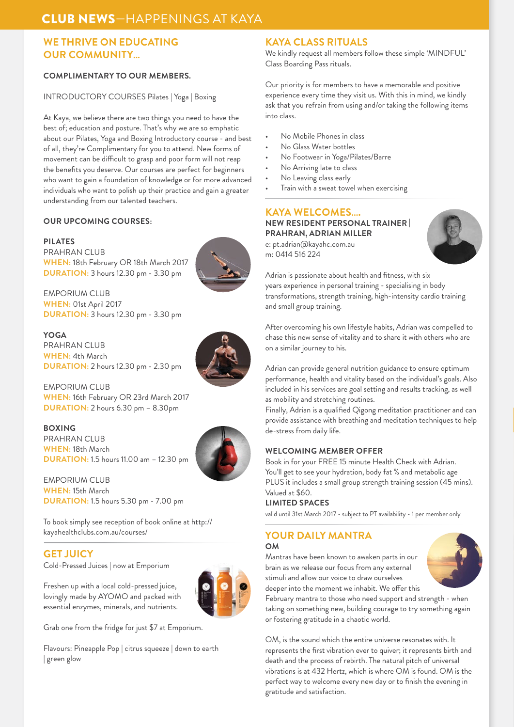# CLUB NEWS—HAPPENINGS AT KAYA

## **WE THRIVE ON EDUCATING OUR COMMUNITY…**

### **COMPLIMENTARY TO OUR MEMBERS.**

#### INTRODUCTORY COURSES Pilates | Yoga | Boxing

At Kaya, we believe there are two things you need to have the best of; education and posture. That's why we are so emphatic about our Pilates, Yoga and Boxing Introductory course - and best of all, they're Complimentary for you to attend. New forms of movement can be difficult to grasp and poor form will not reap the benefits you deserve. Our courses are perfect for beginners who want to gain a foundation of knowledge or for more advanced individuals who want to polish up their practice and gain a greater understanding from our talented teachers.

#### **OUR UPCOMING COURSES:**

**PILATES**  PRAHRAN CLUB **WHEN:** 18th February OR 18th March 2017 **DURATION:** 3 hours 12.30 pm - 3.30 pm



**YOGA** PRAHRAN CLUB **WHEN:** 4th March **DURATION:** 2 hours 12.30 pm - 2.30 pm

EMPORIUM CLUB **WHEN:** 16th February OR 23rd March 2017 **DURATION:** 2 hours 6.30 pm – 8.30pm

#### **BOXING**

PRAHRAN CLUB **WHEN:** 18th March **DURATION:** 1.5 hours 11.00 am – 12.30 pm

EMPORIUM CLUB **WHEN:** 15th March **DURATION:** 1.5 hours 5.30 pm - 7.00 pm

To book simply see reception of book online at http:// kayahealthclubs.com.au/courses/

### **GET JUICY**

Cold-Pressed Juices | now at Emporium

Freshen up with a local cold-pressed juice, lovingly made by AYOMO and packed with essential enzymes, minerals, and nutrients.



Grab one from the fridge for just \$7 at Emporium.

Flavours: Pineapple Pop | citrus squeeze | down to earth | green glow

### **KAYA CLASS RITUALS**

We kindly request all members follow these simple 'MINDFUL' Class Boarding Pass rituals.

Our priority is for members to have a memorable and positive experience every time they visit us. With this in mind, we kindly ask that you refrain from using and/or taking the following items into class.

- No Mobile Phones in class
- No Glass Water bottles
- No Footwear in Yoga/Pilates/Barre
- No Arriving late to class
- No Leaving class early
- Train with a sweat towel when exercising

# **KAYA WELCOMES….**

**NEW RESIDENT PERSONAL TRAINER | PRAHRAN, ADRIAN MILLER**

e: pt.adrian@kayahc.com.au m: 0414 516 224



Adrian is passionate about health and fitness, with six years experience in personal training - specialising in body transformations, strength training, high-intensity cardio training and small group training.

After overcoming his own lifestyle habits, Adrian was compelled to chase this new sense of vitality and to share it with others who are on a similar journey to his.

Adrian can provide general nutrition guidance to ensure optimum performance, health and vitality based on the individual's goals. Also included in his services are goal setting and results tracking, as well as mobility and stretching routines.

Finally, Adrian is a qualified Qigong meditation practitioner and can provide assistance with breathing and meditation techniques to help de-stress from daily life.

### **WELCOMING MEMBER OFFER**

Book in for your FREE 15 minute Health Check with Adrian. You'll get to see your hydration, body fat % and metabolic age PLUS it includes a small group strength training session (45 mins). Valued at \$60.

#### **LIMITED SPACES**

valid until 31st March 2017 - subject to PT availability - 1 per member only

### **YOUR DAILY MANTRA**

#### **OM**

Mantras have been known to awaken parts in our brain as we release our focus from any external stimuli and allow our voice to draw ourselves deeper into the moment we inhabit. We offer this



February mantra to those who need support and strength - when taking on something new, building courage to try something again or fostering gratitude in a chaotic world.

OM, is the sound which the entire universe resonates with. It represents the first vibration ever to quiver; it represents birth and death and the process of rebirth. The natural pitch of universal vibrations is at 432 Hertz, which is where OM is found. OM is the perfect way to welcome every new day or to finish the evening in gratitude and satisfaction.

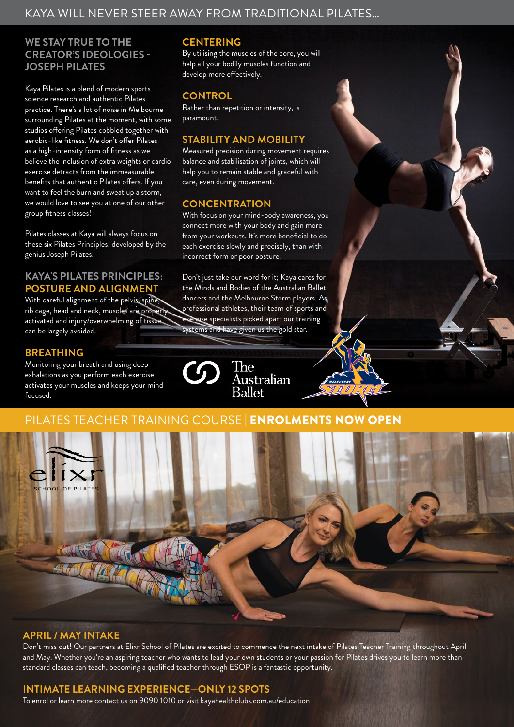# KAYA WILL NEVER STEER AWAY FROM TRADITIONAL PILATES…

# **WE STAY TRUE TO THE CREATOR'S IDEOLOGIES - JOSEPH PILATES**

Kaya Pilates is a blend of modern sports science research and authentic Pilates practice. There's a lot of noise in Melbourne surrounding Pilates at the moment, with some studios offering Pilates cobbled together with aerobic-like fitness. We don't offer Pilates as a high-intensity form of fitness as we believe the inclusion of extra weights or cardio exercise detracts from the immeasurable benefits that authentic Pilates offers. If you want to feel the burn and sweat up a storm, we would love to see you at one of our other group fitness classes!

Pilates classes at Kaya will always focus on these six Pilates Principles; developed by the genius Joseph Pilates.

## **KAYA'S PILATES PRINCIPLES: POSTURE AND ALIGNMENT**

With careful alignment of the pelvis, spine, rib cage, head and neck, muscles are properly activated and injury/overwhelming of tissue can be largely avoided.

### **BREATHING**

Monitoring your breath and using deep exhalations as you perform each exercise activates your muscles and keeps your mind focused.

## **CENTERING**

By utilising the muscles of the core, you will help all your bodily muscles function and develop more effectively.

# **CONTROL**

Rather than repetition or intensity, is paramount.

## **STABILITY AND MOBILITY**

Measured precision during movement requires balance and stabilisation of joints, which will help you to remain stable and graceful with care, even during movement.

## **CONCENTRATION**

With focus on your mind-body awareness, you connect more with your body and gain more from your workouts. It's more beneficial to do each exercise slowly and precisely, than with incorrect form or poor posture.

Don't just take our word for it; Kaya cares for the Minds and Bodies of the Australian Ballet dancers and the Melbourne Storm players. As professional athletes, their team of sports and exercise specialists picked apart our training systems and have given us the gold star.



# PILATES TEACHER TRAINING COURSE ENROLMENTS NOW



### **APRIL / MAY INTAKE**

Don't miss out! Our partners at Elixr School of Pilates are excited to commence the next intake of Pilates Teacher Training throughout April and May. Whether you're an aspiring teacher who wants to lead your own students or your passion for Pilates drives you to learn more than standard classes can teach, becoming a qualified teacher through ESOP is a fantastic opportunity.

# **INTIMATE LEARNING EXPERIENCE—ONLY 12 SPOTS**

To enrol or learn more contact us on 9090 1010 or visit kayahealthclubs.com.au/education